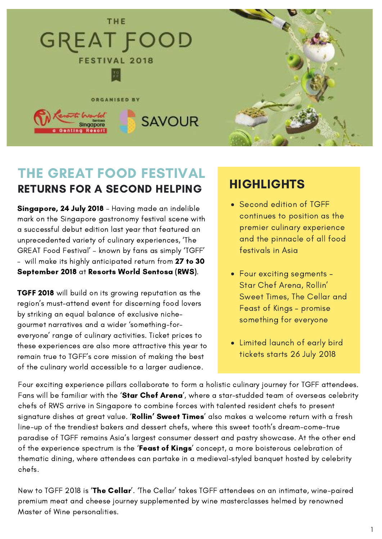

### THE GREAT FOOD FESTIVAL RETURNS FOR A SECOND HELPING

Singapore, 24 July 2018 – Having made an indelible mark on the Singapore gastronomy festival scene with a successful debut edition last year that featured an unprecedented variety of culinary experiences, 'The GREAT Food Festival' – known by fans as simply 'TGFF' – will make its highly anticipated return from 27 to 30 September 2018 at Resorts World Sentosa (RWS).

TGFF 2018 will build on its growing reputation as the region's must-attend event for discerning food lovers by striking an equal balance of exclusive nichegourmet narratives and a wider 'something-foreveryone' range of culinary activities. Ticket prices to these experiences are also more attractive this year to remain true to TGFF's core mission of making the best of the culinary world accessible to a larger audience.

## **HIGHLIGHTS**

- Second edition of TGFF continues to position as the premier culinary experience and the pinnacle of all food festivals in Asia
- Four exciting segments Star Chef Arena, Rollin' Sweet Times, The Cellar and Feast of Kings – promise something for everyone
- Limited launch of early bird tickets starts 26 July 2018

Four exciting experience pillars collaborate to form a holistic culinary journey for TGFF attendees. Fans will be familiar with the 'Star Chef Arena', where a star-studded team of overseas celebrity chefs of RWS arrive in Singapore to combine forces with talented resident chefs to present signature dishes at great value. 'Rollin' Sweet Times' also makes a welcome return with a fresh line-up of the trendiest bakers and dessert chefs, where this sweet tooth's dream-come-true paradise of TGFF remains Asia's largest consumer dessert and pastry showcase. At the other end of the experience spectrum is the 'Feast of Kings' concept, a more boisterous celebration of thematic dining, where attendees can partake in a medieval-styled banquet hosted by celebrity chefs.

New to TGFF 2018 is 'The Cellar'. 'The Cellar' takes TGFF attendees on an intimate, wine-paired premium meat and cheese journey supplemented by wine masterclasses helmed by renowned Master of Wine personalities.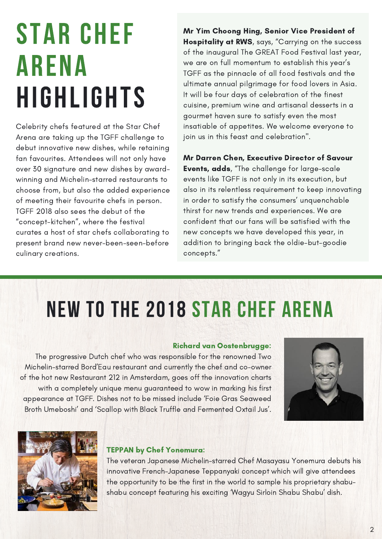# STAR CHEF ARENA HIGHLIGHTS

Celebrity chefs featured at the Star Chef Arena are taking up the TGFF challenge to debut innovative new dishes, while retaining fan favourites. Attendees will not only have over 30 signature and new dishes by awardwinning and Michelin-starred restaurants to choose from, but also the added experience of meeting their favourite chefs in person. TGFF 2018 also sees the debut of the "concept-kitchen", where the festival curates a host of star chefs collaborating to present brand new never-been-seen-before culinary creations.

Mr Yim Choong Hing, Senior Vice President of Hospitality at RWS, says, "Carrying on the success of the inaugural The GREAT Food Festival last year, we are on full momentum to establish this year's TGFF as the pinnacle of all food festivals and the ultimate annual pilgrimage for food lovers in Asia. It will be four days of celebration of the finest cuisine, premium wine and artisanal desserts in a gourmet haven sure to satisfy even the most insatiable of appetites. We welcome everyone to join us in this feast and celebration".

Mr Darren Chen, Executive Director of Savour Events, adds, "The challenge for large-scale events like TGFF is not only in its execution, but also in its relentless requirement to keep innovating in order to satisfy the consumers' unquenchable thirst for new trends and experiences. We are confident that our fans will be satisfied with the new concepts we have developed this year, in addition to bringing back the oldie-but-goodie concepts."

## NEW TO THE 2018 STAR CHEF ARENA

#### Richard van Oostenbrugge:

The progressive Dutch chef who was responsible for the renowned Two Michelin-starred Bord'Eau restaurant and currently the chef and co-owner of the hot new Restaurant 212 in Amsterdam, goes off the innovation charts with a completely unique menu guaranteed to wow in marking his first appearance at TGFF. Dishes not to be missed include 'Foie Gras Seaweed Broth Umeboshi' and 'Scallop with Black Truffle and Fermented Oxtail Jus'.





#### TEPPAN by Chef Yonemura:

The veteran Japanese Michelin-starred Chef Masayasu Yonemura debuts his innovative French-Japanese Teppanyaki concept which will give attendees the opportunity to be the first in the world to sample his proprietary shabushabu concept featuring his exciting 'Wagyu Sirloin Shabu Shabu' dish.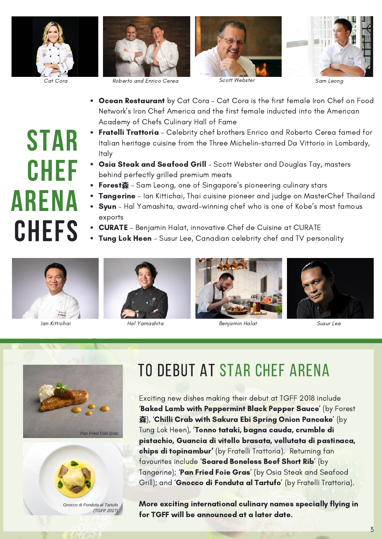



Cat Cora Roberto and Enrico Cerea Scott Webster Sam Leong





- Ocean Restaurant by Cat Cora Cat Cora is the first female Iron Chef on Food Network's Iron Chef America and the first female inducted into the American Academy of Chefs Culinary Hall of Fame
- **Fratelli Trattoria** Celebrity chef brothers Enrico and Roberto Cerea famed for Italian heritage cuisine from the Three Michelin-starred Da Vittorio in Lombardy, Italy
- Osia Steak and Seafood Grill Scott Webster and Douglas Tay, masters behind perfectly grilled premium meats
- Forest森 Sam Leong, one of Singapore's pioneering culinary stars
- **Tangerine** Ian Kittichai, Thai cuisine pioneer and judge on MasterChef Thailand
- Syun Hal Yamashita, award-winning chef who is one of Kobe's most famous exports
- CURATE Benjamin Halat, innovative Chef de Cuisine at CURATE
- **Tung Lok Heen** Susur Lee, Canadian celebrity chef and TV personality





Ian Kittichai Hal Yamashita Benjamin Halat Susur Lee









*(TGFF 2017)*

## TO DEBUT AT STAR CHEF ARENA

Exciting new dishes making their debut at TGFF 2018 include 'Baked Lamb with Peppermint Black Pepper Sauce' (by Forest 森), 'Chilli Crab with Sakura Ebi Spring Onion Pancake' (by Tung Lok Heen), 'Tonno tataki, bagna cauda, crumble di pistachio, Guancia di vitello brasata, vellutata di pastinaca, chips di topinambur' (by Fratelli Trattoria). Returning fan favourites include 'Seared Boneless Beef Short Rib' (by Tangerine); 'Pan Fried Foie Gras' (by Osia Steak and Seafood Grill); and 'Gnocco di Fonduta al Tartufo' (by Fratelli Trattoria).

More exciting international culinary names specially flying in for TGFF will be announced at a later date.

# STAR CHEF ARENA CHEFS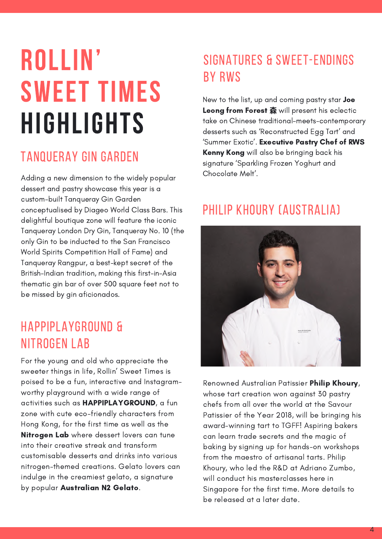# ROLLIN' SWEET TIMES HIGHLIGHTS

### TANQUERAY GIN GARDEN

Adding a new dimension to the widely popular dessert and pastry showcase this year is a custom-built Tanqueray Gin Garden conceptualised by Diageo World Class Bars. This delightful boutique zone will feature the iconic Tanqueray London Dry Gin, Tanqueray No. 10 (the only Gin to be inducted to the San Francisco World Spirits Competition Hall of Fame) and Tanqueray Rangpur, a best-kept secret of the British-Indian tradition, making this first-in-Asia thematic gin bar of over 500 square feet not to be missed by gin aficionados.

## HAPPIPLAYGROUND & NITROGEN LAB

For the young and old who appreciate the sweeter things in life, Rollin' Sweet Times is poised to be a fun, interactive and Instagramworthy playground with a wide range of activities such as HAPPIPLAYGROUND, a fun zone with cute eco-friendly characters from Hong Kong, for the first time as well as the **Nitrogen Lab** where dessert lovers can tune into their creative streak and transform customisable desserts and drinks into various nitrogen-themed creations. Gelato lovers can indulge in the creamiest gelato, a signature by popular Australian N2 Gelato.

## SIGNATURES & SWEET-ENDINGS BY RWS

New to the list, up and coming pastry star Joe **Leong from Forest 森** will present his eclectic take on Chinese traditional-meets-contemporary desserts such as 'Reconstructed Egg Tart' and 'Summer Exotic'. Executive Pastry Chef of RWS Kenny Kong will also be bringing back his signature 'Sparkling Frozen Yoghurt and Chocolate Melt'.

### PHILIP KHOURY (AUSTRALIA)



Renowned Australian Patissier Philip Khoury, whose tart creation won against 30 pastry chefs from all over the world at the Savour Patissier of the Year 2018, will be bringing his award-winning tart to TGFF! Aspiring bakers can learn trade secrets and the magic of baking by signing up for hands-on workshops from the maestro of artisanal tarts. Philip Khoury, who led the R&D at Adriano Zumbo, will conduct his masterclasses here in Singapore for the first time. More details to be released at a later date.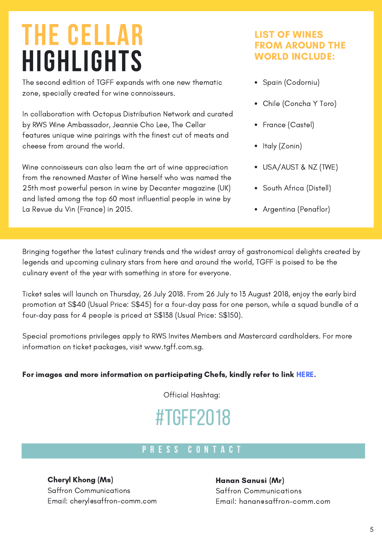## THE CELLAR HIGHLIGHTS

The second edition of TGFF expands with one new thematic zone, specially created for wine connoisseurs.

In collaboration with Octopus Distribution Network and curated by RWS Wine Ambassador, Jeannie Cho Lee, The Cellar features unique wine pairings with the finest cut of meats and cheese from around the world.

Wine connoisseurs can also learn the art of wine appreciation from the renowned Master of Wine herself who was named the 25th most powerful person in wine by Decanter magazine (UK) and listed among the top 60 most influential people in wine by La Revue du Vin (France) in 2015.

#### LIST OF WINES FROM AROUND THE WORLD INCLUDE:

- Spain (Codorniu)
- Chile (Concha Y Toro)
- France (Castel)
- Italy (Zonin)
- USA/AUST & NZ (TWE)
- South Africa (Distell)
- Argentina (Penaflor)

Bringing together the latest culinary trends and the widest array of gastronomical delights created by legends and upcoming culinary stars from here and around the world, TGFF is poised to be the culinary event of the year with something in store for everyone.

Ticket sales will launch on Thursday, 26 July 2018. From 26 July to 13 August 2018, enjoy the early bird promotion at S\$40 (Usual Price: S\$45) for a four-day pass for one person, while a squad bundle of a four-day pass for 4 people is priced at S\$138 (Usual Price: S\$150).

Special promotions privileges apply to RWS Invites Members and Mastercard cardholders. For more information on ticket packages, visit www.tgff.com.sg.

#### For images and more information on participating Chefs, kindly refer to link [HERE.](https://www.dropbox.com/sh/mhxsglvy59zg2tm/AAD_Hov88pNVhyfqd4DcmV2Da?dl=0)

Official Hashtag:

## #TGFF2018

### P R E S S C O N T A C T

Cheryl Khong (Ms) Saffron Communications Email: cheryl@saffron-comm.com

#### Hanan Sanusi (Mr)

Saffron Communications Email: hanan@saffron-comm.com